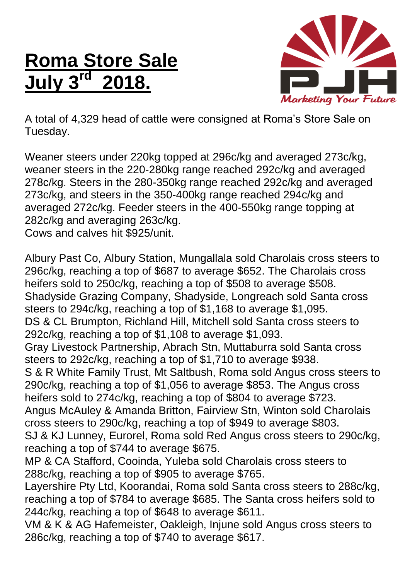## **Roma Store Sale July 3 rd 2018.**



A total of 4,329 head of cattle were consigned at Roma's Store Sale on Tuesday.

Weaner steers under 220kg topped at 296c/kg and averaged 273c/kg, weaner steers in the 220-280kg range reached 292c/kg and averaged 278c/kg. Steers in the 280-350kg range reached 292c/kg and averaged 273c/kg, and steers in the 350-400kg range reached 294c/kg and averaged 272c/kg. Feeder steers in the 400-550kg range topping at 282c/kg and averaging 263c/kg.

Cows and calves hit \$925/unit.

Albury Past Co, Albury Station, Mungallala sold Charolais cross steers to 296c/kg, reaching a top of \$687 to average \$652. The Charolais cross heifers sold to 250c/kg, reaching a top of \$508 to average \$508. Shadyside Grazing Company, Shadyside, Longreach sold Santa cross steers to 294c/kg, reaching a top of \$1,168 to average \$1,095. DS & CL Brumpton, Richland Hill, Mitchell sold Santa cross steers to 292c/kg, reaching a top of \$1,108 to average \$1,093. Gray Livestock Partnership, Abrach Stn, Muttaburra sold Santa cross steers to 292c/kg, reaching a top of \$1,710 to average \$938. S & R White Family Trust, Mt Saltbush, Roma sold Angus cross steers to 290c/kg, reaching a top of \$1,056 to average \$853. The Angus cross heifers sold to 274c/kg, reaching a top of \$804 to average \$723. Angus McAuley & Amanda Britton, Fairview Stn, Winton sold Charolais cross steers to 290c/kg, reaching a top of \$949 to average \$803. SJ & KJ Lunney, Eurorel, Roma sold Red Angus cross steers to 290c/kg, reaching a top of \$744 to average \$675. MP & CA Stafford, Cooinda, Yuleba sold Charolais cross steers to 288c/kg, reaching a top of \$905 to average \$765. Layershire Pty Ltd, Koorandai, Roma sold Santa cross steers to 288c/kg, reaching a top of \$784 to average \$685. The Santa cross heifers sold to 244c/kg, reaching a top of \$648 to average \$611. VM & K & AG Hafemeister, Oakleigh, Injune sold Angus cross steers to

286c/kg, reaching a top of \$740 to average \$617.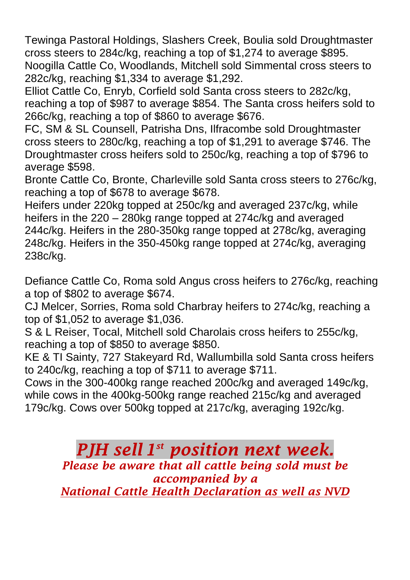Tewinga Pastoral Holdings, Slashers Creek, Boulia sold Droughtmaster cross steers to 284c/kg, reaching a top of \$1,274 to average \$895. Noogilla Cattle Co, Woodlands, Mitchell sold Simmental cross steers to 282c/kg, reaching \$1,334 to average \$1,292.

Elliot Cattle Co, Enryb, Corfield sold Santa cross steers to 282c/kg, reaching a top of \$987 to average \$854. The Santa cross heifers sold to 266c/kg, reaching a top of \$860 to average \$676.

FC, SM & SL Counsell, Patrisha Dns, Ilfracombe sold Droughtmaster cross steers to 280c/kg, reaching a top of \$1,291 to average \$746. The Droughtmaster cross heifers sold to 250c/kg, reaching a top of \$796 to average \$598.

Bronte Cattle Co, Bronte, Charleville sold Santa cross steers to 276c/kg, reaching a top of \$678 to average \$678.

Heifers under 220kg topped at 250c/kg and averaged 237c/kg, while heifers in the 220 – 280kg range topped at 274c/kg and averaged 244c/kg. Heifers in the 280-350kg range topped at 278c/kg, averaging 248c/kg. Heifers in the 350-450kg range topped at 274c/kg, averaging 238c/kg.

Defiance Cattle Co, Roma sold Angus cross heifers to 276c/kg, reaching a top of \$802 to average \$674.

CJ Melcer, Sorries, Roma sold Charbray heifers to 274c/kg, reaching a top of \$1,052 to average \$1,036.

S & L Reiser, Tocal, Mitchell sold Charolais cross heifers to 255c/kg, reaching a top of \$850 to average \$850.

KE & TI Sainty, 727 Stakeyard Rd, Wallumbilla sold Santa cross heifers to 240c/kg, reaching a top of \$711 to average \$711.

Cows in the 300-400kg range reached 200c/kg and averaged 149c/kg, while cows in the 400kg-500kg range reached 215c/kg and averaged 179c/kg. Cows over 500kg topped at 217c/kg, averaging 192c/kg.

> *PJH sell 1 st position next week. Please be aware that all cattle being sold must be accompanied by a National Cattle Health Declaration as well as NVD*